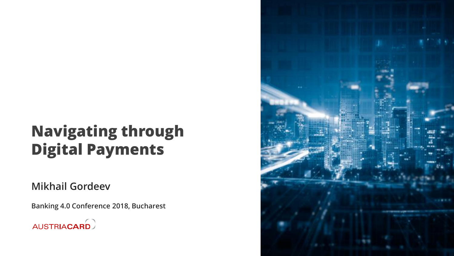## **Navigating through Digital Payments**

### **Mikhail Gordeev**

**Banking 4.0 Conference 2018, Bucharest**



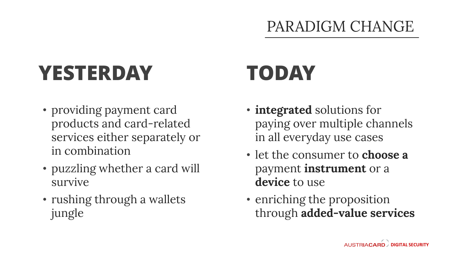### PARADIGM CHANGE

# **YESTERDAY TODAY**

- providing payment card products and card-related services either separately or in combination
- puzzling whether a card will survive
- rushing through a wallets jungle

- **integrated** solutions for paying over multiple channels in all everyday use cases
- let the consumer to **choose a** payment **instrument** or a **device** to use
- enriching the proposition through **added-value services**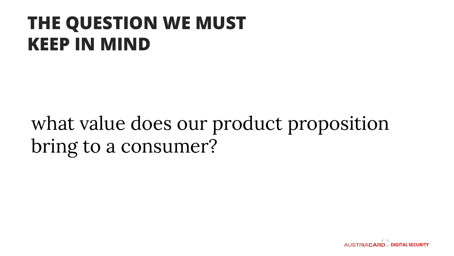## **THE QUESTION WE MUST KEEP IN MIND**

## what value does our product proposition bring to a consumer?

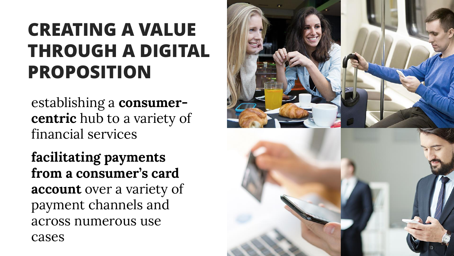## **CREATING A VALUE THROUGH A DIGITAL PROPOSITION**

establishing a **consumer centric** hub to a variety of financial services

**facilitating payments from a consumer's card account** over a variety of payment channels and across numerous use cases

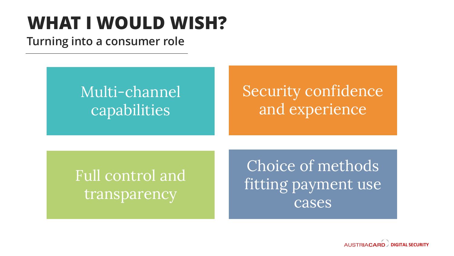## **WHAT I WOULD WISH?**

### **Turning into a consumer role**

## Multi-channel capabilities

## Security confidence and experience

Full control and transparency

Choice of methods fitting payment use cases

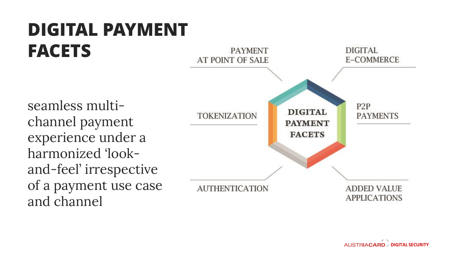#### **DIGITAL PAYMENT FACETS** DIGITAL **PAYMENT** AT POINT OF SALE **E-COMMERCE** seamless multi - P<sub>2</sub>P **DIGITAL TOKENIZATION PAYMENTS** channel payment **PAYMENT** experience under a **FACETS** harmonized 'look and -feel' irrespective of a payment use case **AUTHENTICATION ADDED VALUE APPLICATIONS** and channel

**AUSTRIACARD** DIGITAL SECURITY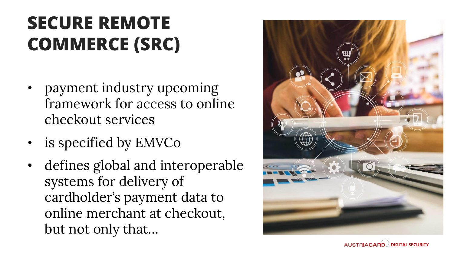## **SECURE REMOTE COMMERCE (SRC)**

- payment industry upcoming framework for access to online checkout services
- is specified by EMVCo
- defines global and interoperable systems for delivery of cardholder's payment data to online merchant at checkout, but not only that…



**AUSTRIACARD DIGITAL SECURITY**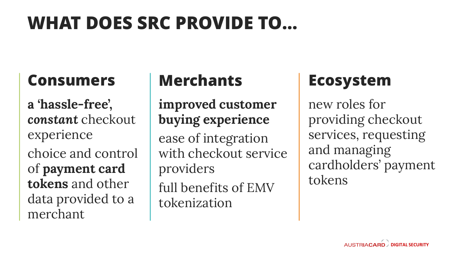## **WHAT DOES SRC PROVIDE TO…**

### **Consumers**

**a 'hassle-free',**  *constant* checkout experience choice and control of **payment card tokens** and other data provided to a merchant

### **Merchants**

**improved customer buying experience**  ease of integration with checkout service providers full benefits of EMV tokenization

### **Ecosystem**

new roles for providing checkout services, requesting and managing cardholders' payment tokens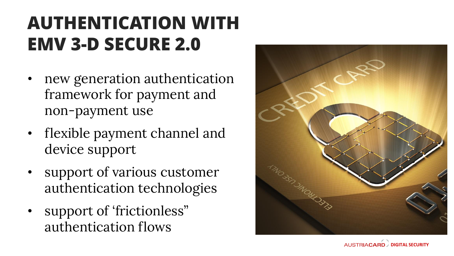## **AUTHENTICATION WITH EMV 3 -D SECURE 2.0**

- new generation authentication framework for payment and non -payment use
- flexible payment channel and device support
- support of various customer authentication technologies
- support of 'frictionless" authentication flows



**DIGITAL SECURITY**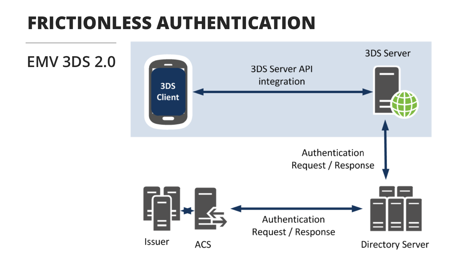## **FRICTIONLESS AUTHENTICATION**



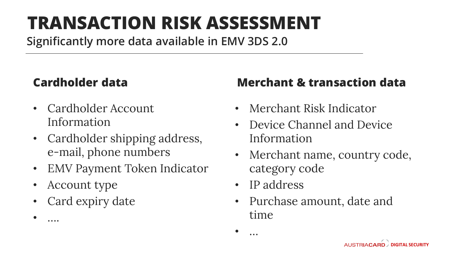## **TRANSACTION RISK ASSESSMENT**

**Significantly more data available in EMV 3DS 2.0**

### **Cardholder data**

- Cardholder Account Information
- Cardholder shipping address, e-mail, phone numbers
- EMV Payment Token Indicator
- Account type

• ….

• Card expiry date

### **Merchant & transaction data**

- Merchant Risk Indicator
- Device Channel and Device Information
- Merchant name, country code, category code
- IP address

• …

• Purchase amount, date and time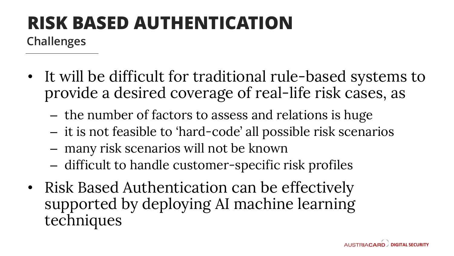## **RISK BASED AUTHENTICATION**

**Challenges**

- It will be difficult for traditional rule-based systems to provide a desired coverage of real-life risk cases, as
	- the number of factors to assess and relations is huge
	- it is not feasible to 'hard-code' all possible risk scenarios
	- many risk scenarios will not be known
	- difficult to handle customer-specific risk profiles
- Risk Based Authentication can be effectively supported by deploying AI machine learning techniques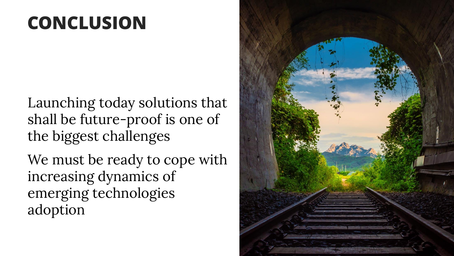## **CONCLUSION**

Launching today solutions that shall be future-proof is one of the biggest challenges

We must be ready to cope with increasing dynamics of emerging technologies adoption